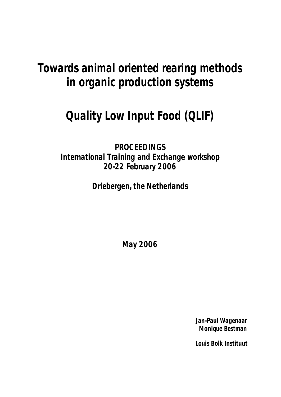# **Towards animal oriented rearing methods in organic production systems**

# **Quality Low Input Food (QLIF)**

**PROCEEDINGS International Training and Exchange workshop 20-22 February 2006**

**Driebergen, the Netherlands**

**May 2006**

**Jan-Paul Wagenaar Monique Bestman**

**Louis Bolk Instituut**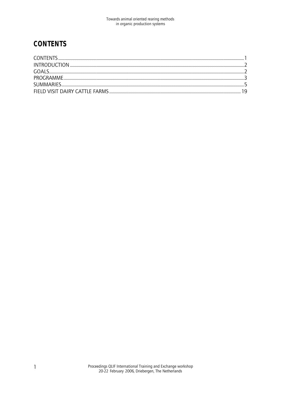# **CONTENTS**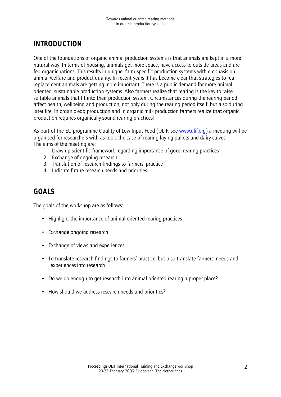# **INTRODUCTION**

One of the foundations of organic animal production systems is that animals are kept in a more natural way. In terms of housing, animals get more space, have access to outside areas and are fed organic rations. This results in unique, farm-specific production systems with emphasis on animal welfare and product quality. In recent years it has become clear that strategies to rear replacement animals are getting more important. There is a public demand for more animal oriented, sustainable production systems. Also farmers realize that rearing is the key to raise suitable animals that fit into their production system. Circumstances during the rearing period affect health, wellbeing and production, not only during the rearing period itself, but also during later life. In organic egg production and in organic milk production farmers realize that organic production requires organically sound rearing practices!

As part of the EU-programme Quality of Low Input Food (QLIF; see www.qlif.org) a meeting will be organised for researchers with as topic the case of rearing laying pullets and dairy calves. The aims of the meeting are:

- 1. Draw up scientific framework regarding importance of good rearing practices
- 2. Exchange of ongoing research
- 3. Translation of research findings to farmers' practice
- 4. Indicate future research needs and priorities

# **GOALS**

The goals of the workshop are as follows:

- Highlight the importance of animal oriented rearing practices
- Exchange ongoing research
- Exchange of views and experiences
- To translate research findings to farmers' practice, but also translate farmers' needs and experiences into research
- Do we do enough to get research into animal oriented rearing a proper place?
- How should we address research needs and priorities?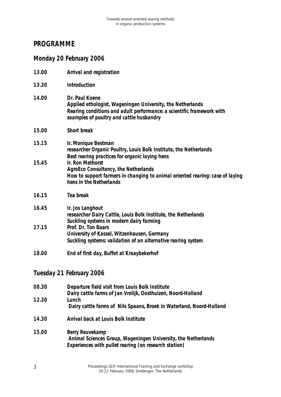# **PROGRAMME**

|       | Monday 20 February 2006                                                                                                                                                                           |
|-------|---------------------------------------------------------------------------------------------------------------------------------------------------------------------------------------------------|
| 13.00 | Arrival and registration                                                                                                                                                                          |
| 13.30 | Introduction                                                                                                                                                                                      |
| 14.00 | Dr. Paul Koene<br>Applied ethologist, Wageningen University, the Netherlands<br>Rearing conditions and adult performance: a scientific framework with<br>examples of poultry and cattle husbandry |
| 15.00 | <b>Short break</b>                                                                                                                                                                                |
| 15.15 | Ir. Monique Bestman<br>researcher Organic Poultry, Louis Bolk Institute, the Netherlands<br>Best rearing practices for organic laying hens                                                        |
| 15.45 | Ir. Ron Methorst<br><b>AgroEco Consultancy, the Netherlands</b><br>How to support farmers in changing to animal oriented rearing: case of laying<br>hens in the Netherlands                       |
| 16.15 | Tea break                                                                                                                                                                                         |
| 16.45 | Ir. Jos Langhout<br>researcher Dairy Cattle, Louis Bolk Institute, the Netherlands<br>Suckling systems in modern dairy farming                                                                    |
| 17.15 | Prof. Dr. Ton Baars<br>University of Kassel, Witzenhausen, Germany<br>Suckling systems: validation of an alternative rearing system                                                               |
| 18.00 | End of first day, Buffet at Kraaybekerhof                                                                                                                                                         |
|       | Tuesday 21 February 2006                                                                                                                                                                          |

| 08.30 | Departure field visit from Louis Bolk Institute                      |
|-------|----------------------------------------------------------------------|
|       | Dairy cattle farms of Jan Vrolijk, Oosthuizen, Noord-Holland         |
| 12.30 | Lunch                                                                |
|       | Dairy cattle farms of Nils Spaans, Broek in Waterland, Noord-Holland |
|       |                                                                      |

- **14.30 Arrival back at Louis Bolk Institute**
- **15.00 Berry Reuvekamp Animal Sciences Group, Wageningen University, the Netherlands** *Experiences with pullet rearing (on research station)*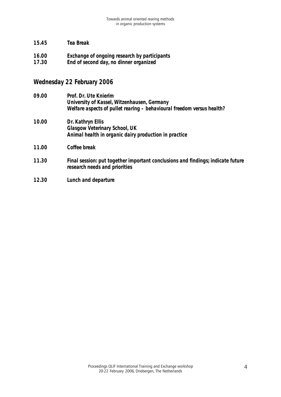- **15.45 Tea Break**
- **16.00 Exchange of ongoing research by participants**
- **17.30 End of second day, no dinner organized**

# **Wednesday 22 February 2006**

- **09.00 Prof. Dr. Ute Knierim University of Kassel, Witzenhausen, Germany** *Welfare aspects of pullet rearing – behavioural freedom versus health?*
- **10.00 Dr. Kathryn Ellis Glasgow Veterinary School, UK** *Animal health in organic dairy production in practice*
- **11.00 Coffee break**
- **11.30 Final session: put together important conclusions and findings; indicate future research needs and priorities**
- **12.30 Lunch and departure**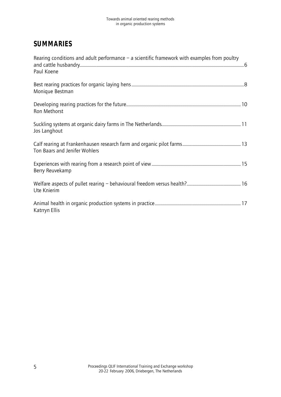# **SUMMARIES**

| Rearing conditions and adult performance $-$ a scientific framework with examples from poultry |  |
|------------------------------------------------------------------------------------------------|--|
| Paul Koene                                                                                     |  |
| Monique Bestman                                                                                |  |
| Ron Methorst                                                                                   |  |
| Jos Langhout                                                                                   |  |
| Ton Baars and Jenifer Wohlers                                                                  |  |
| Berry Reuvekamp                                                                                |  |
| Ute Knierim                                                                                    |  |
| Katrryn Ellis                                                                                  |  |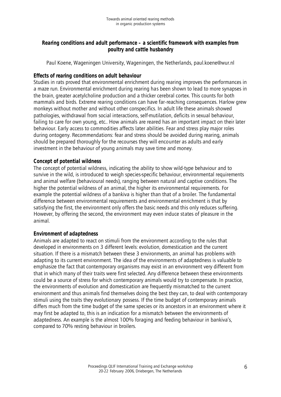# **Rearing conditions and adult performance – a scientific framework with examples from poultry and cattle husbandry**

Paul Koene, Wageningen University, Wageningen, the Netherlands, paul.koene@wur.nl

## **Effects of rearing conditions on adult behaviour**

Studies in rats proved that environmental enrichment during rearing improves the performances in a maze run. Environmental enrichment during rearing has been shown to lead to more synapses in the brain, greater acetylcholine production and a thicker cerebral cortex. This counts for both mammals and birds. Extreme rearing conditions can have far-reaching consequences. Harlow grew monkeys without mother and without other conspecifics. In adult life these animals showed pathologies, withdrawal from social interactions, self-mutilation, deficits in sexual behaviour, failing to care for own young, etc.. How animals are reared has an important impact on their later behaviour. Early access to commodities affects later abilities. Fear and stress play major roles during ontogeny. Recommendations: fear and stress should be avoided during rearing, animals should be prepared thoroughly for the recourses they will encounter as adults and early investment in the behaviour of young animals may save time and money.

### **Concept of potential wildness**

The concept of potential wildness, indicating the ability to show wild-type behaviour and to survive in the wild, is introduced to weigh species-specific behaviour, environmental requirements and animal welfare (behavioural needs), ranging between natural and captive conditions. The higher the potential wildness of an animal, the higher its environmental requirements. For example the potential wildness of a bankiva is higher than that of a broiler. The fundamental difference between environmental requirements and environmental enrichment is that by satisfying the first, the environment only offers the basic needs and this only reduces suffering. However, by offering the second, the environment may even induce states of pleasure in the animal.

#### **Environment of adaptedness**

Animals are adapted to react on stimuli from the environment according to the rules that developed in environments on 3 different levels: evolution, domestication and the current situation. If there is a mismatch between these 3 environments, an animal has problems with adapting to its current environment. The idea of the environments of adaptedness is valuable to emphasize the fact that contemporary organisms may exist in an environment very different from that in which many of their traits were first selected. Any difference between these environments could be a source of stress for which contemporary animals would try to compensate. In practice, the environments of evolution and domestication are frequently mismatched to the current environment and thus animals find themselves doing the best they can, to deal with contemporary stimuli using the traits they evolutionary possess. If the time budget of contemporary animals differs much from the time budget of the same species or its ancestors in an environment where it may first be adapted to, this is an indication for a mismatch between the environments of adaptedness. An example is the almost 100% foraging and feeding behaviour in bankiva's, compared to 70% resting behaviour in broilers.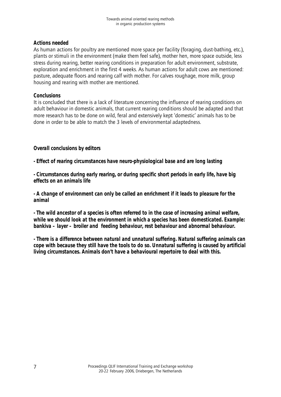# **Actions needed**

As human actions for poultry are mentioned more space per facility (foraging, dust-bathing, etc.), plants or stimuli in the environment (make them feel safe), mother hen, more space outside, less stress during rearing, better rearing conditions in preparation for adult environment, substrate, exploration and enrichment in the first 4 weeks. As human actions for adult cows are mentioned: pasture, adequate floors and rearing calf with mother. For calves roughage, more milk, group housing and rearing with mother are mentioned.

# **Conclusions**

It is concluded that there is a lack of literature concerning the influence of rearing conditions on adult behaviour in domestic animals, that current rearing conditions should be adapted and that more research has to be done on wild, feral and extensively kept 'domestic' animals has to be done in order to be able to match the 3 levels of environmental adaptedness.

# **Overall conclusions by editors**

**- Effect of rearing circumstances have neuro-physiological base and are long lasting**

**- Circumstances during early rearing, or during specific short periods in early life, have big effects on an animals life**

**- A change of environment can only be called an enrichment if it leads to pleasure for the animal**

**- The wild ancestor of a species is often referred to in the case of increasing animal welfare, while we should look at the environment in which a species has been domesticated. Example: bankiva – layer – broiler and feeding behaviour, rest behaviour and abnormal behaviour.**

**- There is a difference between natural and unnatural suffering. Natural suffering animals can cope with because they still have the tools to do so. Unnatural suffering is caused by artificial living circumstances. Animals don't have a behavioural repertoire to deal with this.**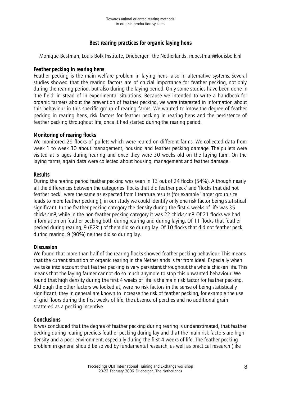# **Best rearing practices for organic laying hens**

Monique Bestman, Louis Bolk Institute, Driebergen, the Netherlands, m.bestman@louisbolk.nl

## **Feather pecking in rearing hens**

Feather pecking is the main welfare problem in laying hens, also in alternative systems. Several studies showed that the rearing factors are of crucial importance for feather pecking, not only during the rearing period, but also during the laying period. Only some studies have been done in 'the field' in stead of in experimental situations. Because we intended to write a handbook for organic farmers about the prevention of feather pecking, we were interested in information about this behaviour in this specific group of rearing farms. We wanted to know the degree of feather pecking in rearing hens, risk factors for feather pecking in rearing hens and the persistence of feather pecking throughout life, once it had started during the rearing period.

# **Monitoring of rearing flocks**

We monitored 29 flocks of pullets which were reared on different farms. We collected data from week 1 to week 30 about management, housing and feather pecking damage. The pullets were visited at 5 ages during rearing and once they were 30 weeks old on the laying farm. On the laying farms, again data were collected about housing, management and feather damage.

### **Results**

During the rearing period feather pecking was seen in 13 out of 24 flocks (54%). Although nearly all the differences between the categories 'flocks that did feather peck' and 'flocks that did not feather peck', were the same as expected from literature results (for example 'larger group size leads to more feather pecking'), in our study we could identify only one risk factor being statistical significant. In the feather pecking category the density during the first 4 weeks of life was 35 chicks/m<sup>2</sup>, while in the non-feather pecking category it was 22 chicks/m<sup>2</sup>. Of 21 flocks we had information on feather pecking both during rearing and during laying. Of 11 flocks that feather pecked during rearing, 9 (82%) of them did so during lay. Of 10 flocks that did not feather peck during rearing, 9 (90%) neither did so during lay.

# **Discussion**

We found that more than half of the rearing flocks showed feather pecking behaviour. This means that the current situation of organic rearing in the Netherlands is far from ideal. Especially when we take into account that feather pecking is very persistent throughout the whole chicken life. This means that the laying farmer cannot do so much anymore to stop this unwanted behaviour. We found that high density during the first 4 weeks of life is the main risk factor for feather pecking. Although the other factors we looked at, were no risk factors in the sense of being statistically significant, they in general are known to increase the risk of feather pecking, for example the use of grid floors during the first weeks of life, the absence of perches and no additional grain scattered as a pecking incentive.

# **Conclusions**

It was concluded that the degree of feather pecking during rearing is underestimated, that feather pecking during rearing predicts feather pecking during lay and that the main risk factors are high density and a poor environment, especially during the first 4 weeks of life. The feather pecking problem in general should be solved by fundamental research, as well as practical research (like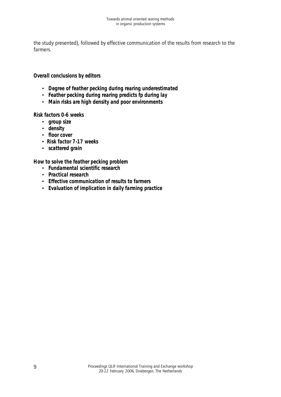the study presented), followed by effective communication of the results from research to the farmers.

# **Overall conclusions by editors**

- • **Degree of feather pecking during rearing underestimated**
- • **Feather pecking during rearing predicts fp during lay**
- • **Main risks are high density and poor environments**

**Risk factors 0-6 weeks**

- • **group size**
- • **density**
- • **floor cover**
- **Risk factor 7-17 weeks**
- • **scattered grain**

**How to solve the feather pecking problem**

- **Fundamental scientific research**
- • **Practical research**
- • **Effective communication of results to farmers**
- • **Evaluation of implication in daily farming practice**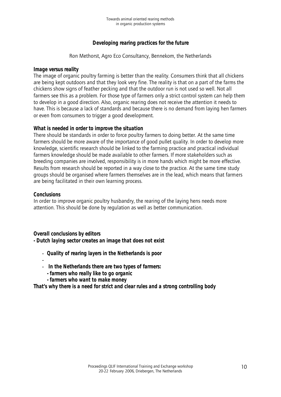# **Developing rearing practices for the future**

Ron Methorst, Agro Eco Consultancy, Bennekom, the Netherlands

#### **Image versus reality**

The image of organic poultry farming is better than the reality. Consumers think that all chickens are being kept outdoors and that they look very fine. The reality is that on a part of the farms the chickens show signs of feather pecking and that the outdoor run is not used so well. Not all farmers see this as a problem. For those type of farmers only a strict control system can help them to develop in a good direction. Also, organic rearing does not receive the attention it needs to have. This is because a lack of standards and because there is no demand from laying hen farmers or even from consumers to trigger a good development.

### **What is needed in order to improve the situation**

There should be standards in order to force poultry farmers to doing better. At the same time farmers should be more aware of the importance of good pullet quality. In order to develop more knowledge, scientific research should be linked to the farming practice and practical individual farmers knowledge should be made available to other farmers. If more stakeholders such as breeding companies are involved, responsibility is in more hands which might be more effective. Results from research should be reported in a way close to the practice. At the same time study groups should be organised where farmers themselves are in the lead, which means that farmers are being facilitated in their own learning process.

### **Conclusions**

In order to improve organic poultry husbandry, the rearing of the laying hens needs more attention. This should be done by regulation as well as better communication.

#### **Overall conclusions by editors**

**- Dutch laying sector creates an image that does not exist**

- **Quality of rearing layers in the Netherlands is poor**
- - **In the Netherlands there are two types of farmers:**
	- **farmers who really like to go organic**
	- **farmers who want to make money**

**That's why there is a need for strict and clear rules and a strong controlling body**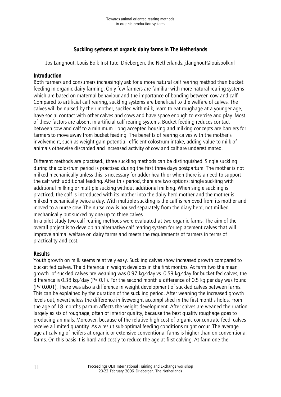# **Suckling systems at organic dairy farms in The Netherlands**

Jos Langhout, Louis Bolk Institute, Driebergen, the Netherlands, j.langhout@louisbolk.nl

# **Introduction**

Both farmers and consumers increasingly ask for a more natural calf rearing method than bucket feeding in organic dairy farming. Only few farmers are familiar with more natural rearing systems which are based on maternal behaviour and the importance of bonding between cow and calf. Compared to artificial calf rearing, suckling systems are beneficial to the welfare of calves. The calves will be nursed by their mother, suckled with milk, learn to eat roughage at a younger age, have social contact with other calves and cows and have space enough to exercise and play. Most of these factors are absent in artificial calf rearing systems. Bucket feeding reduces contact between cow and calf to a minimum. Long accepted housing and milking concepts are barriers for farmers to move away from bucket feeding. The benefits of rearing calves with the mother's involvement, such as weight gain potential, efficient colostrum intake, adding value to milk of animals otherwise discarded and increased activity of cow and calf are underestimated.

Different methods are practised., three suckling methods can be distinguished. Single suckling during the colostrum period is practised during the first three days postpartum. The mother is not milked mechanically unless this is necessary for udder health or when there is a need to support the calf with additional feeding. After this period, there are two options: single suckling with additional milking or multiple sucking without additional milking. When single suckling is practiced, the calf is introduced with its mother into the dairy herd mother and the mother is milked mechanically twice a day. With multiple suckling is the calf is removed from its mother and moved to a nurse cow. The nurse cow is housed separately from the diary herd, not milked mechanically but sucked by one up to three calves.

In a pilot study two calf rearing methods were evaluated at two organic farms. The aim of the overall project is to develop an alternative calf rearing system for replacement calves that will improve animal welfare on dairy farms and meets the requirements of farmers in terms of practicality and cost.

# **Results**

Youth growth on milk seems relatively easy. Suckling calves show increased growth compared to bucket fed calves. The difference in weight develops in the first months. At farm two the mean growth of suckled calves pre weaning was 0.97 kg/day vs. 0.59 kg/day for bucket fed calves, the difference is 0.38 kg/day (P< 0.1). For the second month a difference of 0,5 kg per day was found (P< 0.001). There was also a difference in weight development of suckled calves between farms. This can be explained by the duration of the suckling period. After weaning the increased growth levels out, nevertheless the difference in liveweight accomplished in the first months holds. From the age of 18 months partum affects the weight development. After calves are weaned their ration largely exists of roughage, often of inferior quality, because the best quality roughage goes to producing animals. Moreover, because of the relative high cost of organic concentrate feed, calves receive a limited quantity. As a result sub-optimal feeding conditions might occur. The average age at calving of heifers at organic or extensive conventional farms is higher than on conventional farms. On this basis it is hard and costly to reduce the age at first calving. At farm one the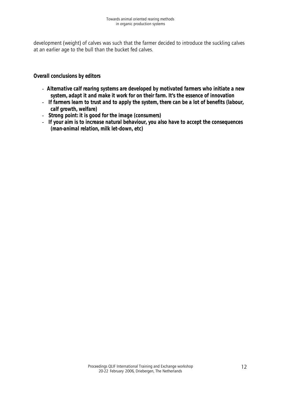development (weight) of calves was such that the farmer decided to introduce the suckling calves at an earlier age to the bull than the bucket fed calves.

**Overall conclusions by editors**

- **Alternative calf rearing systems are developed by motivated farmers who initiate a new system, adapt it and make it work for on their farm. It's the essence of innovation**
- **If farmers learn to trust and to apply the system, there can be a lot of benefits (labour, calf growth, welfare)**
- **Strong point: it is good for the image (consumers)**
- **If your aim is to increase natural behaviour, you also have to accept the consequences (man-animal relation, milk let-down, etc)**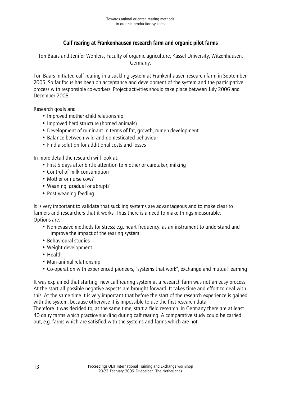# **Calf rearing at Frankenhausen research farm and organic pilot farms**

Ton Baars and Jenifer Wohlers, Faculty of organic agriculture, Kassel University, Witzenhausen, Germany.

Ton Baars initiated calf rearing in a suckling system at Frankenhausen research farm in September 2005. So far focus has been on acceptance and development of the system and the participative process with responsible co-workers. Project activities should take place between July 2006 and December 2008.

Research goals are:

- Improved mother-child relationship
- Improved herd structure (horned animals)
- Development of ruminant in terms of fat, growth, rumen development
- Balance between wild and domesticated behaviour
- Find a solution for additional costs and losses

In more detail the research will look at:

- First 5 days after birth: attention to mother or caretaker, milking
- Control of milk consumption
- Mother or nurse cow?
- Weaning: gradual or abrupt?
- Post-weaning feeding

It is very important to validate that suckling systems are advantageous and to make clear to farmers and researchers that it works. Thus there is a need to make things measurable. Options are:

- Non-evasive methods for stress: e.g. heart frequency, as an instrument to understand and improve the impact of the rearing system
- Behavioural studies
- Weight development
- Health
- Man-animal relationship
- Co-operation with experienced pioneers, "systems that work", exchange and mutual learning

It was explained that starting new calf rearing system at a research farm was not an easy process. At the start all possible negative aspects are brought forward. It takes time and effort to deal with this. At the same time it is very important that before the start of the research experience is gained with the system, because otherwise it is impossible to use the first research data.

Therefore it was decided to, at the same time, start a field research. In Germany there are at least 40 dairy farms which practice suckling during calf rearing. A comparative study could be carried out, e.g. farms which are satisfied with the systems and farms which are not.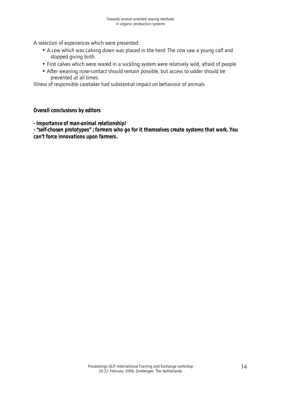A selection of experiences which were presented:

- A cow which was calving down was placed in the herd. The cow saw a young calf and stopped giving birth.
- First calves which were reared in a suckling system were relatively wild, afraid of people
- After weaning nose-contact should remain possible, but access to udder should be prevented at all times.

Illness of responsible caretaker had substantial impact on behaviour of animals

#### **Overall conclusions by editors**

**- Importance of man-animal relationship!**

**- "self-chosen prototypes" ; farmers who go for it themselves create systems that work. You can't force innovations upon farmers.**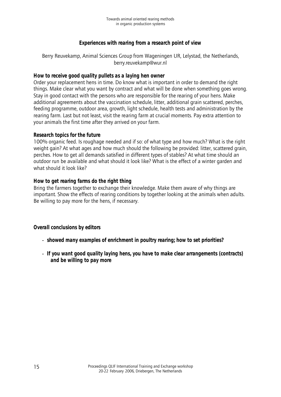# **Experiences with rearing from a research point of view**

Berry Reuvekamp, Animal Sciences Group from Wageningen UR, Lelystad, the Netherlands, berry.reuvekamp@wur.nl

## **How to receive good quality pullets as a laying hen owner**

Order your replacement hens in time. Do know what is important in order to demand the right things. Make clear what you want by contract and what will be done when something goes wrong. Stay in good contact with the persons who are responsible for the rearing of your hens. Make additional agreements about the vaccination schedule, litter, additional grain scattered, perches, feeding programme, outdoor area, growth, light schedule, health tests and administration by the rearing farm. Last but not least, visit the rearing farm at crucial moments. Pay extra attention to your animals the first time after they arrived on your farm.

### **Research topics for the future**

100% organic feed. Is roughage needed and if so: of what type and how much? What is the right weight gain? At what ages and how much should the following be provided: litter, scattered grain, perches. How to get all demands satisfied in different types of stables? At what time should an outdoor run be available and what should it look like? What is the effect of a winter garden and what should it look like?

### **How to get rearing farms do the right thing**

Bring the farmers together to exchange their knowledge. Make them aware of why things are important. Show the effects of rearing conditions by together looking at the animals when adults. Be willing to pay more for the hens, if necessary.

# **Overall conclusions by editors**

- **showed many examples of enrichment in poultry rearing; how to set priorities?**
- **If you want good quality laying hens, you have to make clear arrangements (contracts) and be willing to pay more**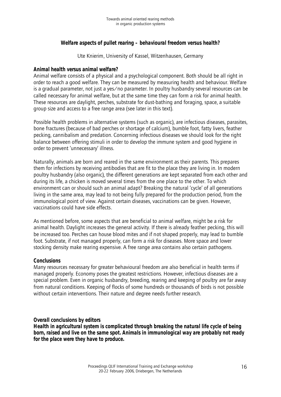# **Welfare aspects of pullet rearing – behavioural freedom versus health?**

Ute Knierim, University of Kassel, Witzenhausen, Germany

# **Animal health versus animal welfare?**

Animal welfare consists of a physical and a psychological component. Both should be all right in order to reach a good welfare. They can be measured by measuring health and behaviour. Welfare is a gradual parameter, not just a yes/no parameter. In poultry husbandry several resources can be called necessary for animal welfare, but at the same time they can form a risk for animal health. These resources are daylight, perches, substrate for dust-bathing and foraging, space, a suitable group size and access to a free range area (see later in this text).

Possible health problems in alternative systems (such as organic), are infectious diseases, parasites, bone fractures (because of bad perches or shortage of calcium), bumble foot, fatty livers, feather pecking, cannibalism and predation. Concerning infectious diseases we should look for the right balance between offering stimuli in order to develop the immune system and good hygiene in order to prevent 'unnecessary' illness.

Naturally, animals are born and reared in the same environment as their parents. This prepares them for infections by receiving antibodies that are fit to the place they are living in. In modern poultry husbandry (also organic), the different generations are kept separated from each other and during its life, a chicken is moved several times from the one place to the other. To which environment can or should such an animal adapt? Breaking the natural 'cycle' of all generations living in the same area, may lead to not being fully prepared for the production period, from the immunological point of view. Against certain diseases, vaccinations can be given. However, vaccinations could have side effects.

As mentioned before, some aspects that are beneficial to animal welfare, might be a risk for animal health. Daylight increases the general activity. If there is already feather pecking, this will be increased too. Perches can house blood mites and if not shaped properly, may lead to bumble foot. Substrate, if not managed properly, can form a risk for diseases. More space and lower stocking density make rearing expensive. A free range area contains also certain pathogens.

#### **Conclusions**

Many resources necessary for greater behavioural freedom are also beneficial in health terms if managed properly. Economy poses the greatest restrictions. However, infectious diseases are a special problem. Even in organic husbandry, breeding, rearing and keeping of poultry are far away from natural conditions. Keeping of flocks of some hundreds or thousands of birds is not possible without certain interventions. Their nature and degree needs further research.

# **Overall conclusions by editors**

**Health in agricultural system is complicated through breaking the natural life cycle of being born, raised and live on the same spot. Animals in immunological way are probably not ready for the place were they have to produce.**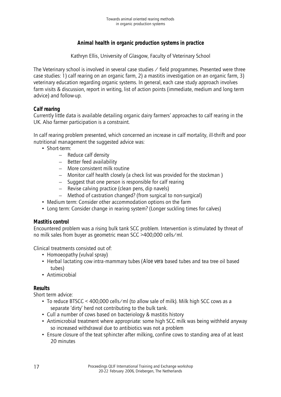# **Animal health in organic production systems in practice**

Kathryn Ellis, University of Glasgow, Faculty of Veterinary School

The Veterinary school is involved in several case studies  $\angle$  field programmes. Presented were three case studies: 1) calf rearing on an organic farm, 2) a mastitis investigation on an organic farm, 3) veterinary education regarding organic systems. In general, each case study approach involves farm visits & discussion, report in writing, list of action points (immediate, medium and long term advice) and follow-up.

# **Calf rearing**

Currently little data is available detailing organic dairy farmers' approaches to calf rearing in the UK. Also farmer participation is a constraint.

In calf rearing problem presented, which concerned an increase in calf mortality, ill-thrift and poor nutritional management the suggested advice was:

- Short-term:
	- Reduce calf density
	- Better feed availability
	- More consistent milk routine
	- Monitor calf health closely (a check list was provided for the stockman )
	- Suggest that one person is responsible for calf rearing
	- Revise calving practice (clean pens, dip navels)
	- Method of castration changed? (from surgical to non-surgical)
- Medium term: Consider other accommodation options on the farm
- Long term: Consider change in rearing system? (Longer suckling times for calves)

# **Mastitis control**

Encountered problem was a rising bulk tank SCC problem. Intervention is stimulated by threat of no milk sales from buyer as geometric mean SCC >400,000 cells/ml.

Clinical treatments consisted out of:

- Homoeopathy (vulval spray)
- Herbal lactating cow intra-mammary tubes (*Aloe vera* based tubes and tea tree oil based tubes)
- Antimicrobial

# **Results**

Short term advice:

- To reduce BTSCC < 400,000 cells/ml (to allow sale of milk). Milk high SCC cows as a separate 'dirty' herd not contributing to the bulk tank.
- Cull a number of cows based on bacteriology & mastitis history
- Antimicrobial treatment where appropriate: some high SCC milk was being withheld anyway so increased withdrawal due to antibiotics was not a problem
- Ensure closure of the teat sphincter after milking, confine cows to standing area of at least 20 minutes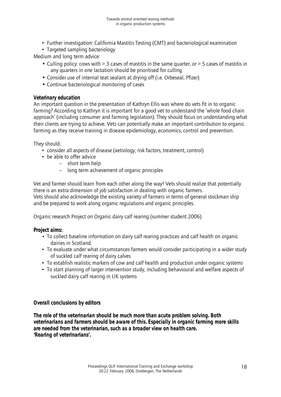- Further investigation: California Mastitis Testing (CMT) and bacteriological examination
- Targeted sampling bacteriology

Medium and long term advice:

- Culling policy: cows with > 3 cases of mastitis in the same quarter, or > 5 cases of mastitis in any quarters in one lactation should be prioritised for culling
- Consider use of internal teat sealant at drying off (i.e. Orbeseal, Pfizer)
- Continue bacteriological monitoring of cases

## **Veterinary education**

An important question in the presentation of Kathryn Ellis was where do vets fit in to organic farming? According to Kathryn it is important for a good vet to understand the 'whole food chain approach' (including consumer and farming legislation). They should focus on understanding what their clients are trying to achieve. Vets can potentially make an important contribution to organic farming as they receive training in disease epidemiology, economics, control and prevention.

They should:

- consider all aspects of disease (aetiology, risk factors, treatment, control)
- be able to offer advice
	- short term help
	- long term achievement of organic principles

Vet and farmer should learn from each other along the way! Vets should realize that potentially there is an extra dimension of job satisfaction in dealing with organic farmers. Vets should also acknowledge the existing variety of farmers in terms of general stockman ship and be prepared to work along organic regulations and organic principles.

Organic research Project on Organic dairy calf rearing (summer student 2006)

# **Project aims:**

- To collect baseline information on dairy calf rearing practices and calf health on organic dairies in Scotland.
- To evaluate under what circumstances farmers would consider participating in a wider study of suckled calf rearing of dairy calves
- To establish realistic markers of cow and calf health and production under organic systems
- To start planning of larger intervention study, including behavioural and welfare aspects of suckled dairy calf rearing in UK systems

# **Overall conclusions by editors**

**The role of the veterinarian should be much more than acute problem solving. Both veterinarians and farmers should be aware of this. Especially in organic farming more skills are needed from the veterinarian, such as a broader view on health care. 'Rearing of veterinarians'.**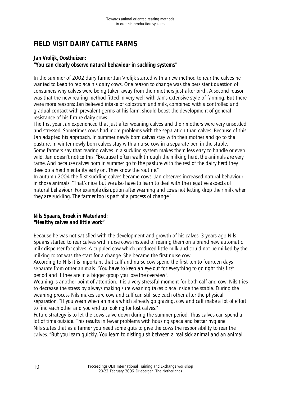# **FIELD VISIT DAIRY CATTLE FARMS**

# **Jan Vrolijk, Oosthuizen:**

## **"You can clearly observe natural behaviour in suckling systems"**

In the summer of 2002 dairy farmer Jan Vrolijk started with a new method to rear the calves he wanted to keep to replace his dairy cows. One reason to change was the persistent question of consumers why calves were being taken away from their mothers just after birth. A second reason was that the new rearing method fitted in very well with Jan's extensive style of farming. But there were more reasons: Jan believed intake of colostrum and milk, combined with a controlled and gradual contact with prevalent germs at his farm, should boost the development of general resistance of his future dairy cows.

The first year Jan experienced that just after weaning calves and their mothers were very unsettled and stressed. Sometimes cows had more problems with the separation than calves. Because of this Jan adapted his approach. In summer newly born calves stay with their mother and go to the pasture. In winter newly born calves stay with a nurse cow in a separate pen in the stable. Some farmers say that rearing calves in a suckling system makes them less easy to handle or even wild. Jan doesn't notice this. "*Because I often walk through the milking herd, the animals are very tame. And because calves born in summer go to the pasture with the rest of the dairy herd they develop a herd mentality early on. They know the routine.*"

In autumn 2004 the first suckling calves became cows. Jan observes increased natural behaviour in those animals. "*That's nice, but we also have to learn to deal with the negative aspects of natural behaviour. For example disruption after weaning and cows not letting drop their milk when they are suckling. The farmer too is part of a process of change*."

### **Nils Spaans, Broek in Waterland:** *"Healthy calves and little work"*

Because he was not satisfied with the development and growth of his calves, 3 years ago Nils Spaans started to rear calves with nurse cows instead of rearing them on a brand new automatic milk dispenser for calves. A crippled cow which produced little milk and could not be milked by the milking robot was the start for a change. She became the first nurse cow.

According to Nils it is important that calf and nurse cow spend the first ten to fourteen days separate from other animals. "*You have to keep an eye out for everything to go right this first period and if they are in a bigger group you lose the overview"*.

Weaning is another point of attention. It is a very stressful moment for both calf and cow. Nils tries to decrease the stress by always making sure weaning takes place inside the stable. During the weaning process Nils makes sure cow and calf can still see each other after the physical separation. "*If you wean when animals which already go grazing, cow and calf make a lot of effort to find each other and you end up looking for lost calves.*"

Future strategy is to let the cows calve down during the summer period. Thus calves can spend a lot of time outside. This results in fewer problems with housing space and better hygiene. Nils states that as a farmer you need some guts to give the cows the responsibility to rear the calves. "*But you learn quickly. You learn to distinguish between a real sick animal and an animal*